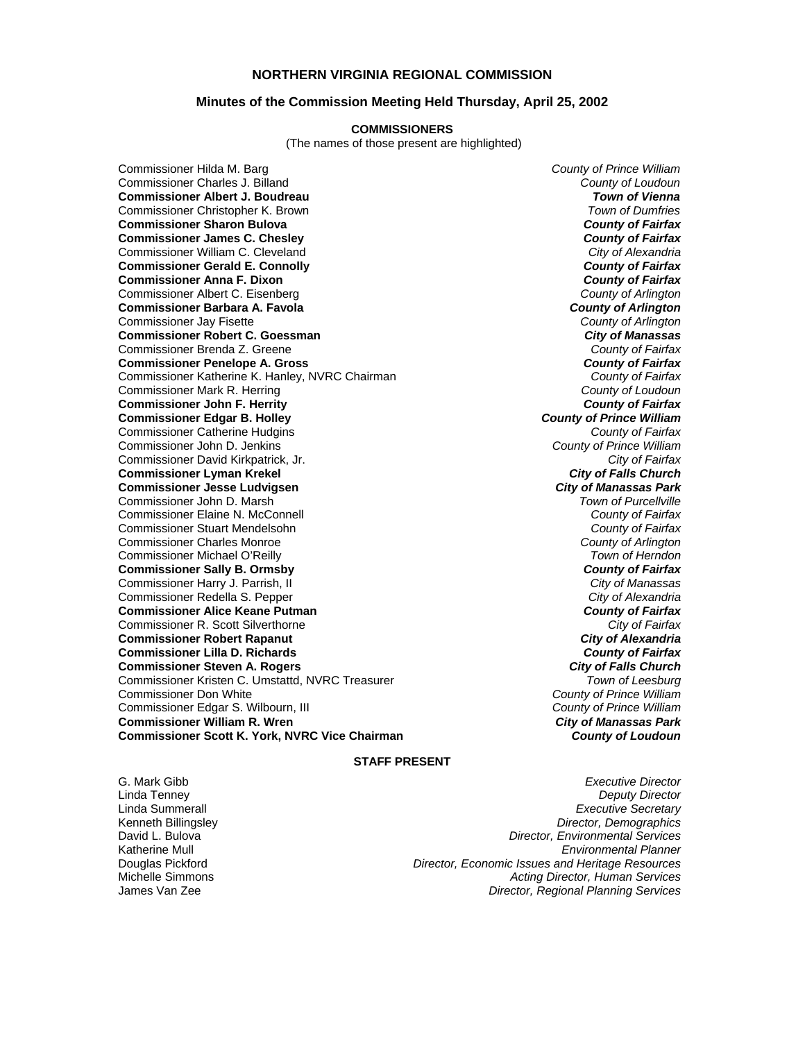#### **NORTHERN VIRGINIA REGIONAL COMMISSION**

#### **Minutes of the Commission Meeting Held Thursday, April 25, 2002**

#### **COMMISSIONERS**

(The names of those present are highlighted)

Commissioner Charles J. Billand *County of Loudoun* **Commissioner Albert J. Boudreau** *Town of Vienna* Commissioner Christopher K. Brown *Town of Dumfries*  **Commissioner Sharon Bulova** *County of Fairfax* **Commissioner James C. Chesley** *County of Fairfax* Commissioner William C. Cleveland *City of Alexandria* **Commissioner Gerald E. Connolly** *County of Fairfax* **Commissioner Anna F. Dixon** Commissioner Albert C. Eisenberg *County of Arlington* **Commissioner Barbara A. Favola** *Commissioner Barbara A. Favola**County of Arlington***<br>** *County of Arlington***<br>** *County of Arlington* Commissioner Jay Fisette *County of Arlington* **Commissioner Robert C. Goessman** *City of Manassas* Commissioner Brenda Z. Greene *County of Fairfax* **Commissioner Penelope A. Gross** *County of Fairfax* Commissioner Katherine K. Hanley, NVRC Chairman *County of Fairfax* Commissioner Mark R. Herring *County of Loudoun* **Commissioner John F. Herrity Commissioner Edgar B. Holley** *County of Prince William* Commissioner Catherine Hudgins *County of Fairfax* Commissioner John D. Jenkins *County of Prince William* Commissioner David Kirkpatrick, Jr. *City of Fairfax* **Commissioner Lyman Krekel** *City of Falls Church* **Commissioner Jesse Ludvigsen** *City of Manassas Park* Commissioner John D. Marsh *Town of Purcellville* Commissioner Elaine N. McConnell *County of Fairfax* Commissioner Stuart Mendelsohn *County of Fairfax* Commissioner Charles Monroe *County of Arlington* Commissioner Michael O'Reilly *Town of Herndon* **Commissioner Sally B. Ormsby** *County of Fairfax* Commissioner Harry J. Parrish, II *City of Manassas* Commissioner Redella S. Pepper *City of Alexandria* **Commissioner Alice Keane Putman** *County of Fairfax* Commissioner R. Scott Silverthorne *City of Fairfax* **Commissioner Robert Rapanut** *City of Alexandria* **Commissioner Lilla D. Richards** *County of Fairfax* **Commissioner Steven A. Rogers** *City of Falls Church* Commissioner Kristen C. Umstattd, NVRC Treasurer *Town of Leesburg* Commissioner Don White *County of Prince William* Commissioner Edgar S. Wilbourn, III *County of Prince William* **Commissioner William R. Wren** *City of Manassas Park* **Commissioner Scott K. York, NVRC Vice Chairman** *County of Loudoun*

Commissioner Hilda M. Barg *County of Prince William*

#### **STAFF PRESENT**

G. Mark Gibb *Executive Director* Linda Tenney *Deputy Director* Linda Summerall *Executive Secretary* **Director, Demographics** David L. Bulova *Director, Environmental Services* Katherine Mull *Environmental Planner* Douglas Pickford *Director, Economic Issues and Heritage Resources* Michelle Simmons *Acting Director, Human Services* James Van Zee *Director, Regional Planning Services*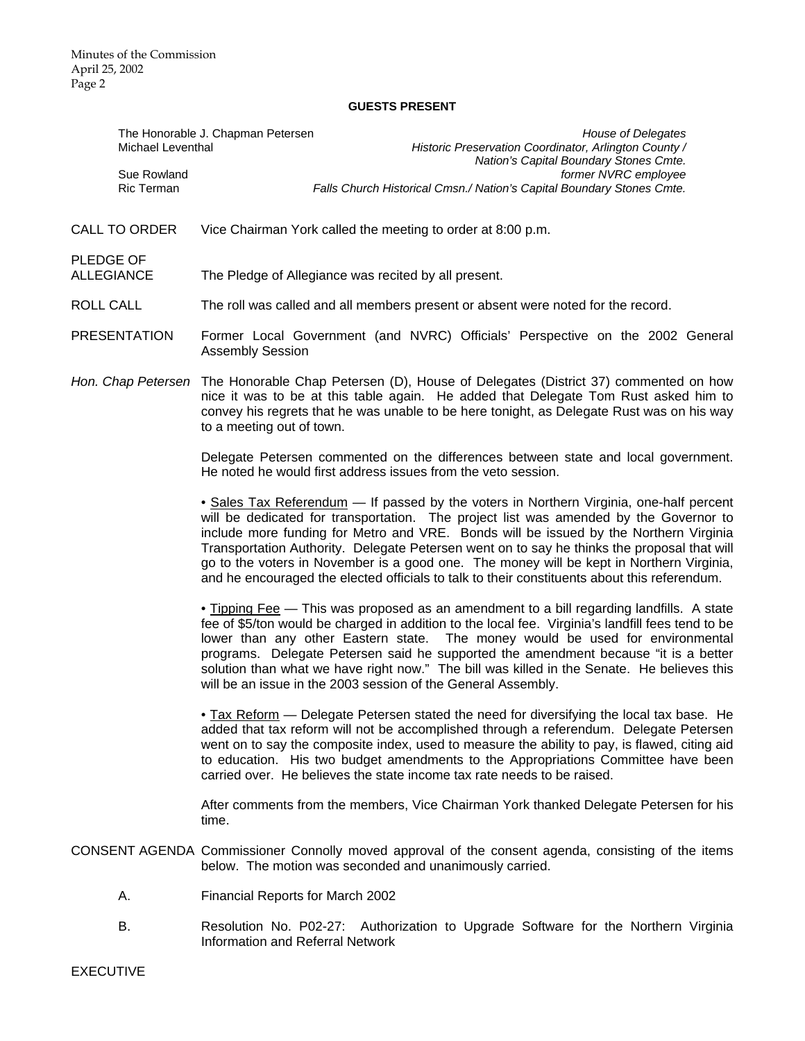#### **GUESTS PRESENT**

| Michael Leventhal              | <b>House of Delegates</b><br>The Honorable J. Chapman Petersen<br>Historic Preservation Coordinator, Arlington County /<br>Nation's Capital Boundary Stones Cmte.                                                                                                                                                                                                                                                                                                                                                                                                    |
|--------------------------------|----------------------------------------------------------------------------------------------------------------------------------------------------------------------------------------------------------------------------------------------------------------------------------------------------------------------------------------------------------------------------------------------------------------------------------------------------------------------------------------------------------------------------------------------------------------------|
| Sue Rowland<br>Ric Terman      | former NVRC employee<br>Falls Church Historical Cmsn./ Nation's Capital Boundary Stones Cmte.                                                                                                                                                                                                                                                                                                                                                                                                                                                                        |
| <b>CALL TO ORDER</b>           | Vice Chairman York called the meeting to order at 8:00 p.m.                                                                                                                                                                                                                                                                                                                                                                                                                                                                                                          |
| PLEDGE OF<br><b>ALLEGIANCE</b> | The Pledge of Allegiance was recited by all present.                                                                                                                                                                                                                                                                                                                                                                                                                                                                                                                 |
| <b>ROLL CALL</b>               | The roll was called and all members present or absent were noted for the record.                                                                                                                                                                                                                                                                                                                                                                                                                                                                                     |
| <b>PRESENTATION</b>            | Former Local Government (and NVRC) Officials' Perspective on the 2002 General<br><b>Assembly Session</b>                                                                                                                                                                                                                                                                                                                                                                                                                                                             |
|                                | Hon. Chap Petersen The Honorable Chap Petersen (D), House of Delegates (District 37) commented on how<br>nice it was to be at this table again. He added that Delegate Tom Rust asked him to<br>convey his regrets that he was unable to be here tonight, as Delegate Rust was on his way<br>to a meeting out of town.                                                                                                                                                                                                                                               |
|                                | Delegate Petersen commented on the differences between state and local government.<br>He noted he would first address issues from the veto session.                                                                                                                                                                                                                                                                                                                                                                                                                  |
|                                | • Sales Tax Referendum — If passed by the voters in Northern Virginia, one-half percent<br>will be dedicated for transportation. The project list was amended by the Governor to<br>include more funding for Metro and VRE. Bonds will be issued by the Northern Virginia<br>Transportation Authority. Delegate Petersen went on to say he thinks the proposal that will<br>go to the voters in November is a good one. The money will be kept in Northern Virginia,<br>and he encouraged the elected officials to talk to their constituents about this referendum. |
|                                | • Tipping Fee — This was proposed as an amendment to a bill regarding landfills. A state<br>fee of \$5/ton would be charged in addition to the local fee. Virginia's landfill fees tend to be<br>lower than any other Eastern state. The money would be used for environmental<br>programs. Delegate Petersen said he supported the amendment because "it is a better<br>solution than what we have right now." The bill was killed in the Senate. He believes this<br>will be an issue in the 2003 session of the General Assembly.                                 |
|                                | • Tax Reform — Delegate Petersen stated the need for diversifying the local tax base. He<br>added that tax reform will not be accomplished through a referendum. Delegate Petersen<br>went on to say the composite index, used to measure the ability to pay, is flawed, citing aid<br>to education. His two budget amendments to the Appropriations Committee have been<br>carried over. He believes the state income tax rate needs to be raised.                                                                                                                  |
|                                | After comments from the members, Vice Chairman York thanked Delegate Petersen for his<br>time.                                                                                                                                                                                                                                                                                                                                                                                                                                                                       |
|                                | CONSENT AGENDA Commissioner Connolly moved approval of the consent agenda, consisting of the items<br>below. The motion was seconded and unanimously carried.                                                                                                                                                                                                                                                                                                                                                                                                        |
| Α.                             | Financial Reports for March 2002                                                                                                                                                                                                                                                                                                                                                                                                                                                                                                                                     |
| В.                             | Resolution No. P02-27: Authorization to Upgrade Software for the Northern Virginia<br><b>Information and Referral Network</b>                                                                                                                                                                                                                                                                                                                                                                                                                                        |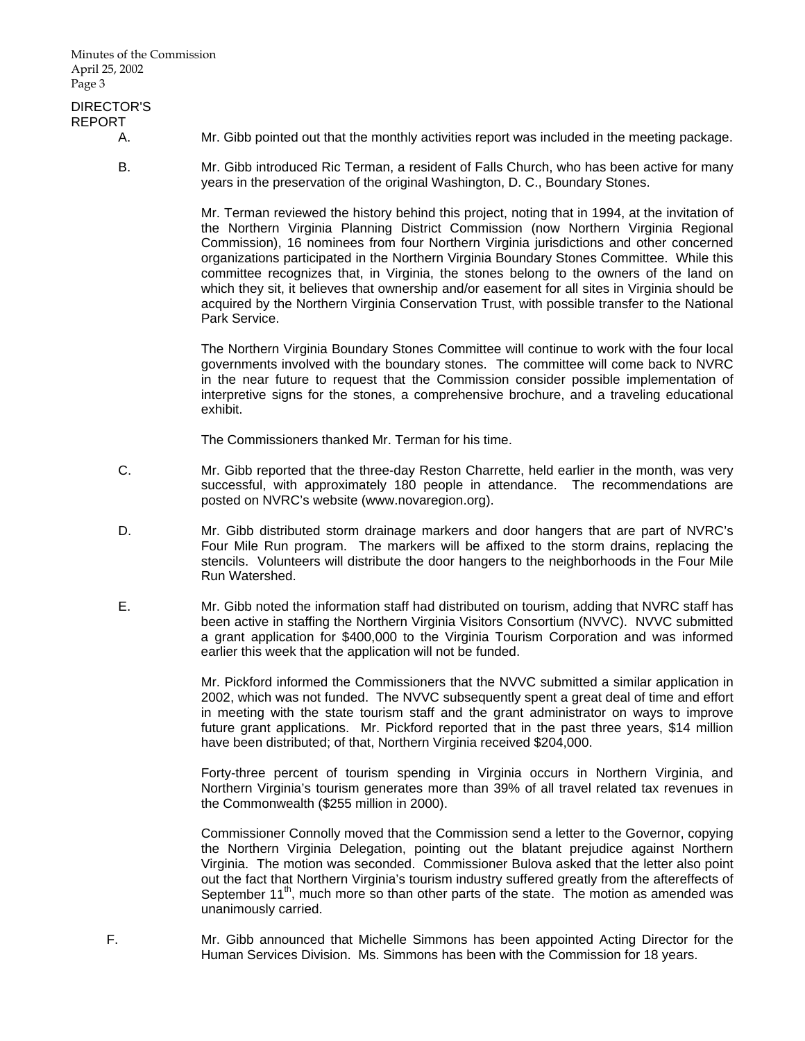Minutes of the Commission April 25, 2002 Page 3

### DIRECTOR'S REPORT

- 
- A. Mr. Gibb pointed out that the monthly activities report was included in the meeting package.
- B. Mr. Gibb introduced Ric Terman, a resident of Falls Church, who has been active for many years in the preservation of the original Washington, D. C., Boundary Stones.

 Mr. Terman reviewed the history behind this project, noting that in 1994, at the invitation of the Northern Virginia Planning District Commission (now Northern Virginia Regional Commission), 16 nominees from four Northern Virginia jurisdictions and other concerned organizations participated in the Northern Virginia Boundary Stones Committee. While this committee recognizes that, in Virginia, the stones belong to the owners of the land on which they sit, it believes that ownership and/or easement for all sites in Virginia should be acquired by the Northern Virginia Conservation Trust, with possible transfer to the National Park Service.

 The Northern Virginia Boundary Stones Committee will continue to work with the four local governments involved with the boundary stones. The committee will come back to NVRC in the near future to request that the Commission consider possible implementation of interpretive signs for the stones, a comprehensive brochure, and a traveling educational exhibit.

The Commissioners thanked Mr. Terman for his time.

- C. Mr. Gibb reported that the three-day Reston Charrette, held earlier in the month, was very successful, with approximately 180 people in attendance. The recommendations are posted on NVRC's website (www.novaregion.org).
- D. Mr. Gibb distributed storm drainage markers and door hangers that are part of NVRC's Four Mile Run program. The markers will be affixed to the storm drains, replacing the stencils. Volunteers will distribute the door hangers to the neighborhoods in the Four Mile Run Watershed.
- E. Mr. Gibb noted the information staff had distributed on tourism, adding that NVRC staff has been active in staffing the Northern Virginia Visitors Consortium (NVVC). NVVC submitted a grant application for \$400,000 to the Virginia Tourism Corporation and was informed earlier this week that the application will not be funded.

 Mr. Pickford informed the Commissioners that the NVVC submitted a similar application in 2002, which was not funded. The NVVC subsequently spent a great deal of time and effort in meeting with the state tourism staff and the grant administrator on ways to improve future grant applications. Mr. Pickford reported that in the past three years, \$14 million have been distributed; of that, Northern Virginia received \$204,000.

 Forty-three percent of tourism spending in Virginia occurs in Northern Virginia, and Northern Virginia's tourism generates more than 39% of all travel related tax revenues in the Commonwealth (\$255 million in 2000).

 Commissioner Connolly moved that the Commission send a letter to the Governor, copying the Northern Virginia Delegation, pointing out the blatant prejudice against Northern Virginia. The motion was seconded. Commissioner Bulova asked that the letter also point out the fact that Northern Virginia's tourism industry suffered greatly from the aftereffects of September 11<sup>th</sup>, much more so than other parts of the state. The motion as amended was unanimously carried.

 F. Mr. Gibb announced that Michelle Simmons has been appointed Acting Director for the Human Services Division. Ms. Simmons has been with the Commission for 18 years.